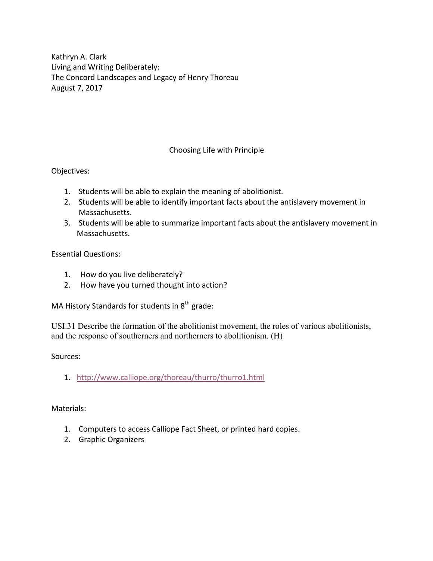Kathryn A. Clark Living and Writing Deliberately: The Concord Landscapes and Legacy of Henry Thoreau August 7, 2017

## Choosing Life with Principle

Objectives:

- 1. Students will be able to explain the meaning of abolitionist.
- 2. Students will be able to identify important facts about the antislavery movement in Massachusetts.
- 3. Students will be able to summarize important facts about the antislavery movement in Massachusetts.

Essential Questions:

- 1. How do you live deliberately?
- 2. How have you turned thought into action?

MA History Standards for students in  $8<sup>th</sup>$  grade:

USI.31 Describe the formation of the abolitionist movement, the roles of various abolitionists, and the response of southerners and northerners to abolitionism. (H)

Sources:

1. http://www.calliope.org/thoreau/thurro/thurro1.html

Materials:

- 1. Computers to access Calliope Fact Sheet, or printed hard copies.
- 2. Graphic Organizers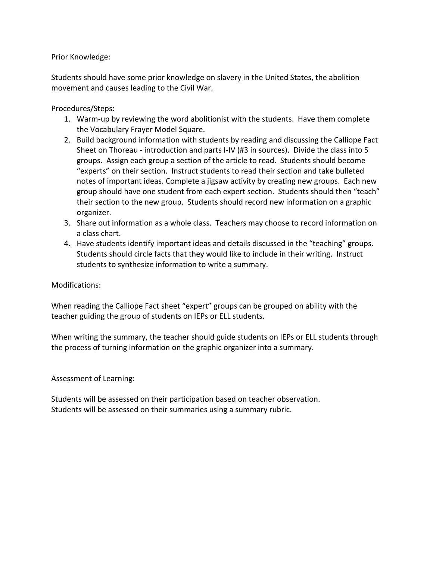Prior Knowledge:

Students should have some prior knowledge on slavery in the United States, the abolition movement and causes leading to the Civil War.

Procedures/Steps:

- 1. Warm-up by reviewing the word abolitionist with the students. Have them complete the Vocabulary Frayer Model Square.
- 2. Build background information with students by reading and discussing the Calliope Fact Sheet on Thoreau - introduction and parts I-IV (#3 in sources). Divide the class into 5 groups. Assign each group a section of the article to read. Students should become "experts" on their section. Instruct students to read their section and take bulleted notes of important ideas. Complete a jigsaw activity by creating new groups. Each new group should have one student from each expert section. Students should then "teach" their section to the new group. Students should record new information on a graphic organizer.
- 3. Share out information as a whole class. Teachers may choose to record information on a class chart.
- 4. Have students identify important ideas and details discussed in the "teaching" groups. Students should circle facts that they would like to include in their writing. Instruct students to synthesize information to write a summary.

Modifications:

When reading the Calliope Fact sheet "expert" groups can be grouped on ability with the teacher guiding the group of students on IEPs or ELL students.

When writing the summary, the teacher should guide students on IEPs or ELL students through the process of turning information on the graphic organizer into a summary.

Assessment of Learning:

Students will be assessed on their participation based on teacher observation. Students will be assessed on their summaries using a summary rubric.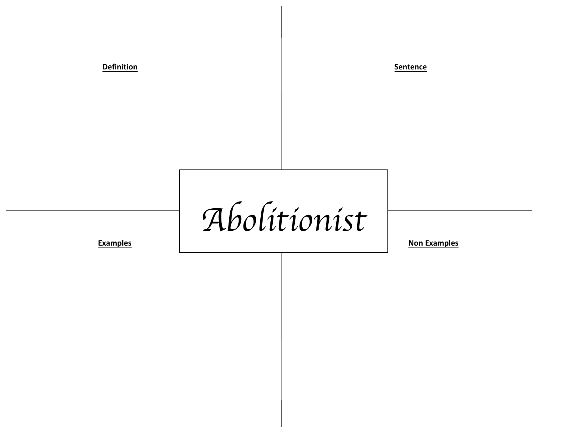**Definition Sentence** 

*Abolitionist*

**Examples Non-Examples Non-Examples**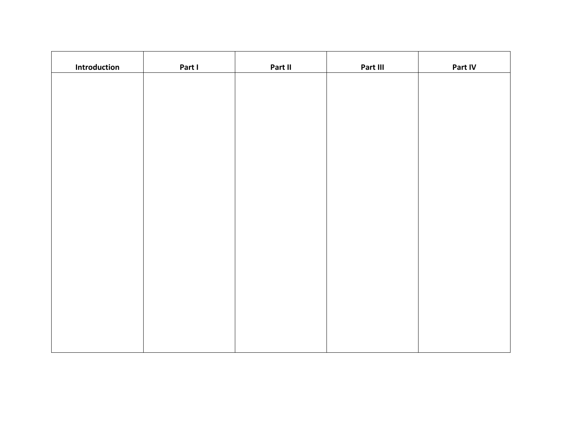| Introduction | Part I | Part II | Part III | Part IV |
|--------------|--------|---------|----------|---------|
|              |        |         |          |         |
|              |        |         |          |         |
|              |        |         |          |         |
|              |        |         |          |         |
|              |        |         |          |         |
|              |        |         |          |         |
|              |        |         |          |         |
|              |        |         |          |         |
|              |        |         |          |         |
|              |        |         |          |         |
|              |        |         |          |         |
|              |        |         |          |         |
|              |        |         |          |         |
|              |        |         |          |         |
|              |        |         |          |         |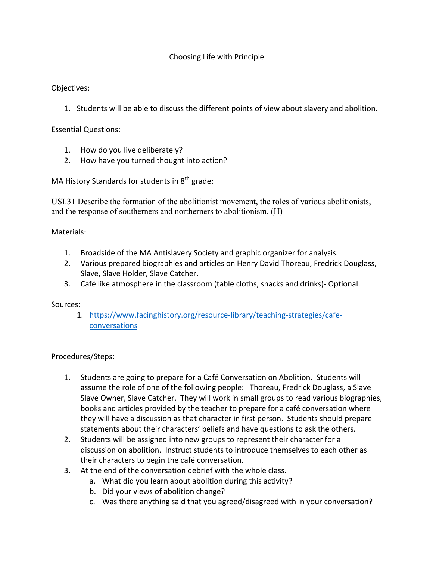## Choosing Life with Principle

## Objectives:

1. Students will be able to discuss the different points of view about slavery and abolition.

Essential Questions:

- 1. How do you live deliberately?
- 2. How have you turned thought into action?

MA History Standards for students in  $8<sup>th</sup>$  grade:

USI.31 Describe the formation of the abolitionist movement, the roles of various abolitionists, and the response of southerners and northerners to abolitionism. (H)

Materials:

- 1. Broadside of the MA Antislavery Society and graphic organizer for analysis.
- 2. Various prepared biographies and articles on Henry David Thoreau, Fredrick Douglass, Slave, Slave Holder, Slave Catcher.
- 3. Café like atmosphere in the classroom (table cloths, snacks and drinks)- Optional.

## Sources:

1. https://www.facinghistory.org/resource-library/teaching-strategies/cafeconversations

Procedures/Steps:

- 1. Students are going to prepare for a Café Conversation on Abolition. Students will assume the role of one of the following people: Thoreau, Fredrick Douglass, a Slave Slave Owner, Slave Catcher. They will work in small groups to read various biographies, books and articles provided by the teacher to prepare for a café conversation where they will have a discussion as that character in first person. Students should prepare statements about their characters' beliefs and have questions to ask the others.
- 2. Students will be assigned into new groups to represent their character for a discussion on abolition. Instruct students to introduce themselves to each other as their characters to begin the café conversation.
- 3. At the end of the conversation debrief with the whole class.
	- a. What did you learn about abolition during this activity?
	- b. Did your views of abolition change?
	- c. Was there anything said that you agreed/disagreed with in your conversation?